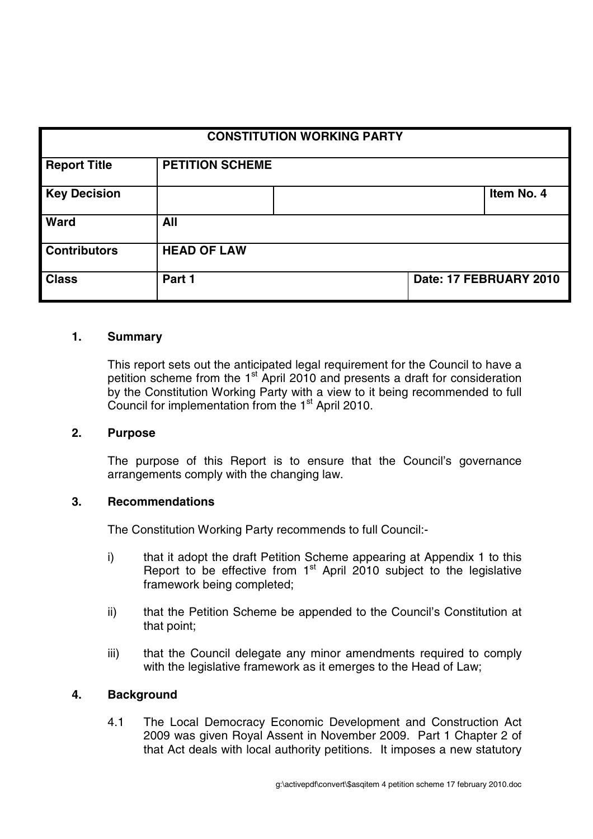| <b>CONSTITUTION WORKING PARTY</b> |                        |  |  |                        |
|-----------------------------------|------------------------|--|--|------------------------|
| <b>Report Title</b>               | <b>PETITION SCHEME</b> |  |  |                        |
| <b>Key Decision</b>               |                        |  |  | Item No. 4             |
| Ward                              | All                    |  |  |                        |
| <b>Contributors</b>               | <b>HEAD OF LAW</b>     |  |  |                        |
| <b>Class</b>                      | Part 1                 |  |  | Date: 17 FEBRUARY 2010 |

#### **1. Summary**

This report sets out the anticipated legal requirement for the Council to have a petition scheme from the 1<sup>st</sup> April 2010 and presents a draft for consideration by the Constitution Working Party with a view to it being recommended to full Council for implementation from the 1<sup>st</sup> April 2010.

#### **2. Purpose**

The purpose of this Report is to ensure that the Council's governance arrangements comply with the changing law.

#### **3. Recommendations**

The Constitution Working Party recommends to full Council:-

- i) that it adopt the draft Petition Scheme appearing at Appendix 1 to this Report to be effective from  $1<sup>st</sup>$  April 2010 subject to the legislative framework being completed;
- ii) that the Petition Scheme be appended to the Council's Constitution at that point;
- iii) that the Council delegate any minor amendments required to comply with the legislative framework as it emerges to the Head of Law;

#### **4. Background**

4.1 The Local Democracy Economic Development and Construction Act 2009 was given Royal Assent in November 2009. Part 1 Chapter 2 of that Act deals with local authority petitions. It imposes a new statutory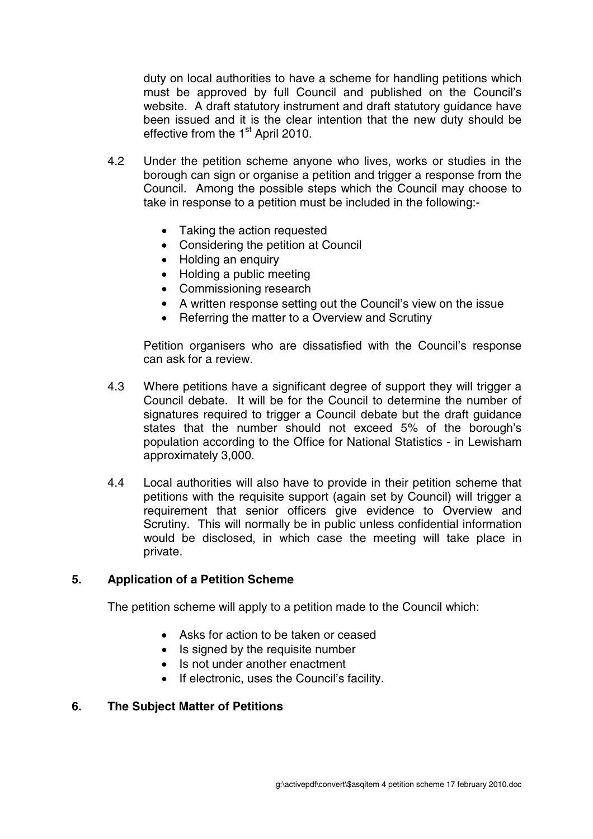duty on local authorities to have a scheme for handling petitions which must be approved by full Council and published on the Council's website. A draft statutory instrument and draft statutory guidance have been issued and it is the clear intention that the new duty should be effective from the 1<sup>st</sup> April 2010.

- 4.2 Under the petition scheme anyone who lives, works or studies in the borough can sign or organise a petition and trigger a response from the Council. Among the possible steps which the Council may choose to take in response to a petition must be included in the following:-
	- Taking the action requested
	- Considering the petition at Council
	- Holding an enquiry
	- Holding a public meeting
	- Commissioning research
	- A written response setting out the Council's view on the issue
	- Referring the matter to a Overview and Scrutiny

Petition organisers who are dissatisfied with the Council's response can ask for a review.

- 4.3 Where petitions have a significant degree of support they will trigger a Council debate. It will be for the Council to determine the number of signatures required to trigger a Council debate but the draft guidance states that the number should not exceed 5% of the borough's population according to the Office for National Statistics - in Lewisham approximately 3,000.
- 4.4 Local authorities will also have to provide in their petition scheme that petitions with the requisite support (again set by Council) will trigger a requirement that senior officers give evidence to Overview and Scrutiny. This will normally be in public unless confidential information would be disclosed, in which case the meeting will take place in private.

#### **5. Application of a Petition Scheme**

The petition scheme will apply to a petition made to the Council which:

- Asks for action to be taken or ceased
- Is signed by the requisite number
- Is not under another enactment
- If electronic, uses the Council's facility.

#### **6. The Subject Matter of Petitions**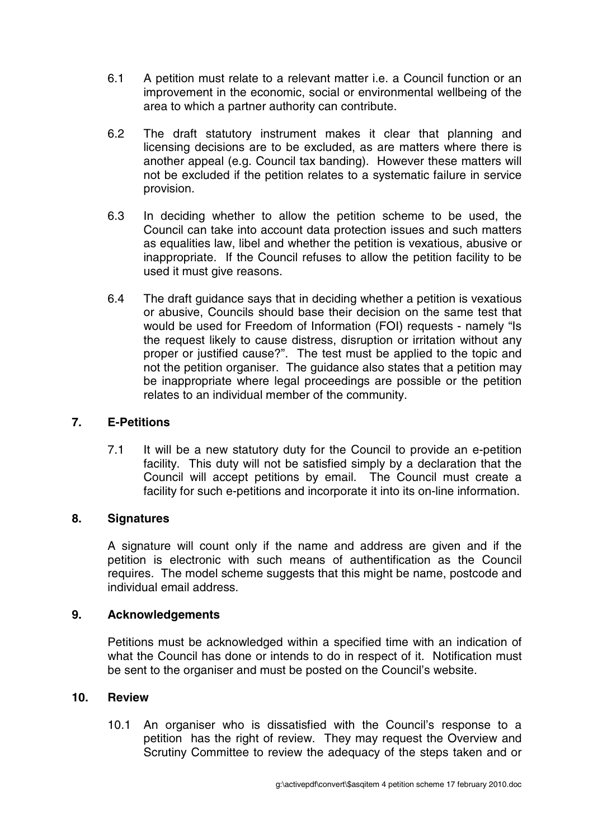- 6.1 A petition must relate to a relevant matter i.e. a Council function or an improvement in the economic, social or environmental wellbeing of the area to which a partner authority can contribute.
- 6.2 The draft statutory instrument makes it clear that planning and licensing decisions are to be excluded, as are matters where there is another appeal (e.g. Council tax banding). However these matters will not be excluded if the petition relates to a systematic failure in service provision.
- 6.3 In deciding whether to allow the petition scheme to be used, the Council can take into account data protection issues and such matters as equalities law, libel and whether the petition is vexatious, abusive or inappropriate. If the Council refuses to allow the petition facility to be used it must give reasons.
- 6.4 The draft guidance says that in deciding whether a petition is vexatious or abusive, Councils should base their decision on the same test that would be used for Freedom of Information (FOI) requests - namely "Is the request likely to cause distress, disruption or irritation without any proper or justified cause?". The test must be applied to the topic and not the petition organiser. The guidance also states that a petition may be inappropriate where legal proceedings are possible or the petition relates to an individual member of the community.

### **7. E-Petitions**

7.1 It will be a new statutory duty for the Council to provide an e-petition facility. This duty will not be satisfied simply by a declaration that the Council will accept petitions by email. The Council must create a facility for such e-petitions and incorporate it into its on-line information.

### **8. Signatures**

A signature will count only if the name and address are given and if the petition is electronic with such means of authentification as the Council requires. The model scheme suggests that this might be name, postcode and individual email address.

### **9. Acknowledgements**

Petitions must be acknowledged within a specified time with an indication of what the Council has done or intends to do in respect of it. Notification must be sent to the organiser and must be posted on the Council's website.

### **10. Review**

10.1 An organiser who is dissatisfied with the Council's response to a petition has the right of review. They may request the Overview and Scrutiny Committee to review the adequacy of the steps taken and or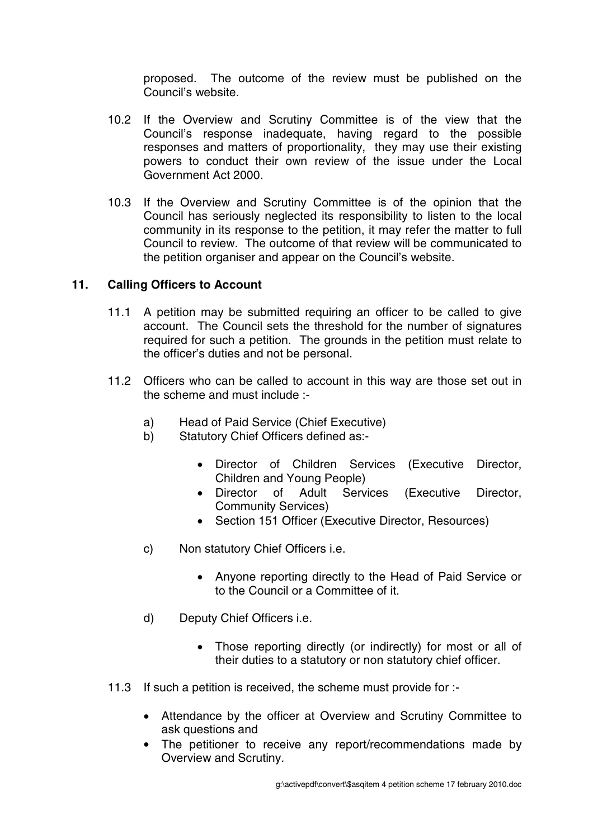proposed. The outcome of the review must be published on the Council's website.

- 10.2 If the Overview and Scrutiny Committee is of the view that the Council's response inadequate, having regard to the possible responses and matters of proportionality, they may use their existing powers to conduct their own review of the issue under the Local Government Act 2000.
- 10.3 If the Overview and Scrutiny Committee is of the opinion that the Council has seriously neglected its responsibility to listen to the local community in its response to the petition, it may refer the matter to full Council to review. The outcome of that review will be communicated to the petition organiser and appear on the Council's website.

### **11. Calling Officers to Account**

- 11.1 A petition may be submitted requiring an officer to be called to give account. The Council sets the threshold for the number of signatures required for such a petition. The grounds in the petition must relate to the officer's duties and not be personal.
- 11.2 Officers who can be called to account in this way are those set out in the scheme and must include :
	- a) Head of Paid Service (Chief Executive)
	- b) Statutory Chief Officers defined as:-
		- Director of Children Services (Executive Director, Children and Young People)
		- Director of Adult Services (Executive Director, Community Services)
		- Section 151 Officer (Executive Director, Resources)
	- c) Non statutory Chief Officers i.e.
		- Anyone reporting directly to the Head of Paid Service or to the Council or a Committee of it.
	- d) Deputy Chief Officers i.e.
		- Those reporting directly (or indirectly) for most or all of their duties to a statutory or non statutory chief officer.
- 11.3 If such a petition is received, the scheme must provide for :-
	- Attendance by the officer at Overview and Scrutiny Committee to ask questions and
	- The petitioner to receive any report/recommendations made by Overview and Scrutiny.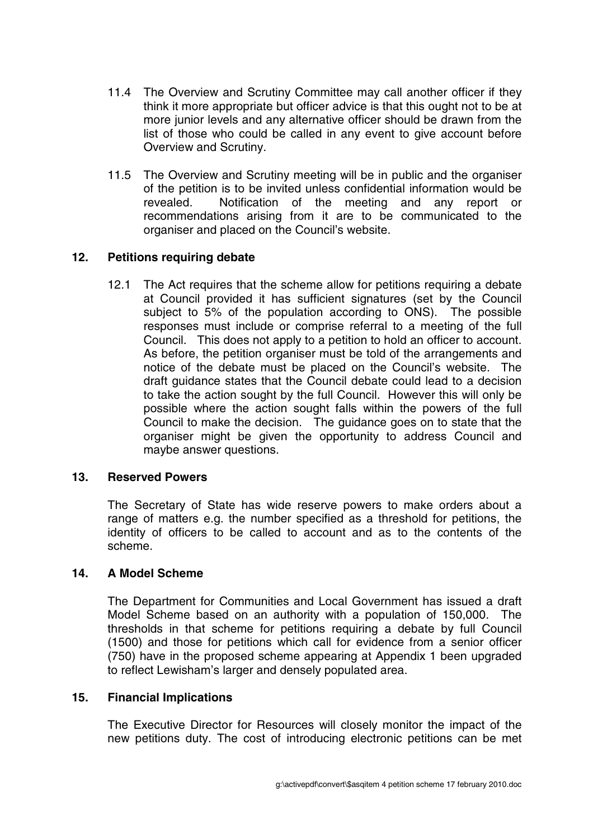- 11.4 The Overview and Scrutiny Committee may call another officer if they think it more appropriate but officer advice is that this ought not to be at more junior levels and any alternative officer should be drawn from the list of those who could be called in any event to give account before Overview and Scrutiny.
- 11.5 The Overview and Scrutiny meeting will be in public and the organiser of the petition is to be invited unless confidential information would be revealed. Notification of the meeting and any report or recommendations arising from it are to be communicated to the organiser and placed on the Council's website.

# **12. Petitions requiring debate**

12.1 The Act requires that the scheme allow for petitions requiring a debate at Council provided it has sufficient signatures (set by the Council subject to 5% of the population according to ONS). The possible responses must include or comprise referral to a meeting of the full Council. This does not apply to a petition to hold an officer to account. As before, the petition organiser must be told of the arrangements and notice of the debate must be placed on the Council's website. The draft guidance states that the Council debate could lead to a decision to take the action sought by the full Council. However this will only be possible where the action sought falls within the powers of the full Council to make the decision. The guidance goes on to state that the organiser might be given the opportunity to address Council and maybe answer questions.

### **13. Reserved Powers**

The Secretary of State has wide reserve powers to make orders about a range of matters e.g. the number specified as a threshold for petitions, the identity of officers to be called to account and as to the contents of the scheme.

### **14. A Model Scheme**

The Department for Communities and Local Government has issued a draft Model Scheme based on an authority with a population of 150,000. The thresholds in that scheme for petitions requiring a debate by full Council (1500) and those for petitions which call for evidence from a senior officer (750) have in the proposed scheme appearing at Appendix 1 been upgraded to reflect Lewisham's larger and densely populated area.

#### **15. Financial Implications**

The Executive Director for Resources will closely monitor the impact of the new petitions duty. The cost of introducing electronic petitions can be met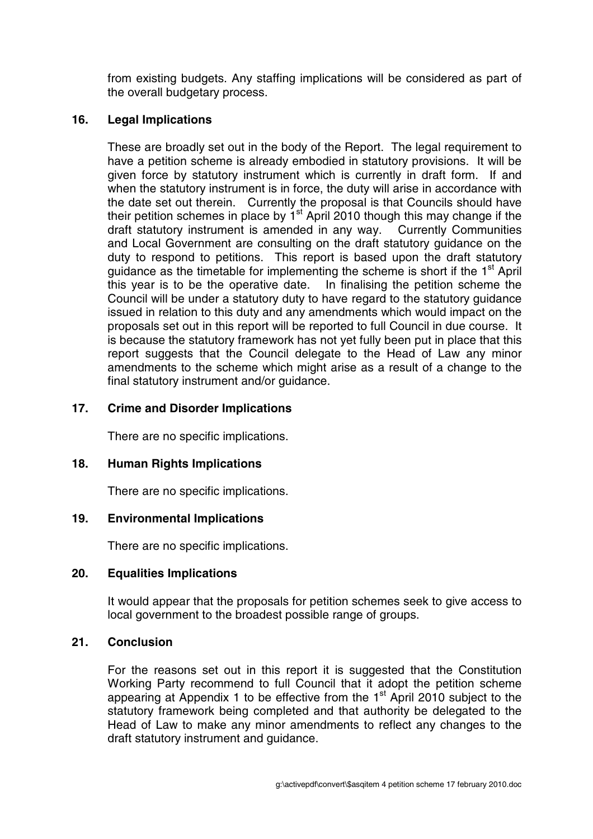from existing budgets. Any staffing implications will be considered as part of the overall budgetary process.

### **16. Legal Implications**

These are broadly set out in the body of the Report. The legal requirement to have a petition scheme is already embodied in statutory provisions. It will be given force by statutory instrument which is currently in draft form. If and when the statutory instrument is in force, the duty will arise in accordance with the date set out therein. Currently the proposal is that Councils should have their petition schemes in place by  $1<sup>st</sup>$  April 2010 though this may change if the draft statutory instrument is amended in any way. Currently Communities and Local Government are consulting on the draft statutory guidance on the duty to respond to petitions. This report is based upon the draft statutory quidance as the timetable for implementing the scheme is short if the  $1<sup>st</sup>$  April this year is to be the operative date. In finalising the petition scheme the Council will be under a statutory duty to have regard to the statutory guidance issued in relation to this duty and any amendments which would impact on the proposals set out in this report will be reported to full Council in due course. It is because the statutory framework has not yet fully been put in place that this report suggests that the Council delegate to the Head of Law any minor amendments to the scheme which might arise as a result of a change to the final statutory instrument and/or guidance.

# **17. Crime and Disorder Implications**

There are no specific implications.

# **18. Human Rights Implications**

There are no specific implications.

### **19. Environmental Implications**

There are no specific implications.

# **20. Equalities Implications**

It would appear that the proposals for petition schemes seek to give access to local government to the broadest possible range of groups.

### **21. Conclusion**

For the reasons set out in this report it is suggested that the Constitution Working Party recommend to full Council that it adopt the petition scheme appearing at Appendix 1 to be effective from the  $1<sup>st</sup>$  April 2010 subject to the statutory framework being completed and that authority be delegated to the Head of Law to make any minor amendments to reflect any changes to the draft statutory instrument and guidance.